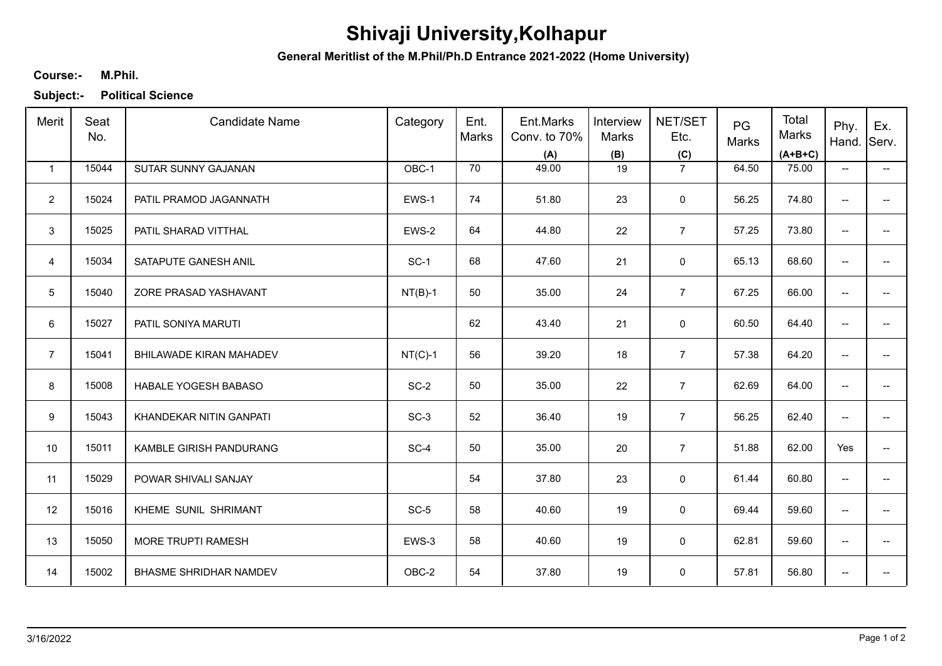## **Shivaji University,Kolhapur**

**General Meritlist of the M.Phil/Ph.D Entrance 2021-2022 (Home University)**

## **M.Phil. Course:-**

**Subject:- Political Science**

| Merit          | Seat<br>No. | <b>Candidate Name</b>         | Category  | Ent.<br>Marks | Ent.Marks<br>Conv. to 70%<br>(A) | Interview<br>Marks<br>(B) | NET/SET<br>Etc.<br>(C) | PG<br>Marks | Total<br>Marks<br>$(A+B+C)$ | Phy.<br>Hand. Serv.      | Ex.                      |
|----------------|-------------|-------------------------------|-----------|---------------|----------------------------------|---------------------------|------------------------|-------------|-----------------------------|--------------------------|--------------------------|
| $\mathbf{1}$   | 15044       | SUTAR SUNNY GAJANAN           | OBC-1     | 70            | 49.00                            | 19                        | $\overline{7}$         | 64.50       | 75.00                       | $\overline{\phantom{a}}$ | $\overline{\phantom{0}}$ |
| $\overline{2}$ | 15024       | PATIL PRAMOD JAGANNATH        | EWS-1     | 74            | 51.80                            | 23                        | $\mathbf 0$            | 56.25       | 74.80                       | $\overline{\phantom{a}}$ | -−                       |
| $\mathbf{3}$   | 15025       | PATIL SHARAD VITTHAL          | EWS-2     | 64            | 44.80                            | 22                        | $\overline{7}$         | 57.25       | 73.80                       | $\overline{\phantom{a}}$ | $- -$                    |
| $\overline{4}$ | 15034       | SATAPUTE GANESH ANIL          | $SC-1$    | 68            | 47.60                            | 21                        | $\mathbf 0$            | 65.13       | 68.60                       | $\overline{\phantom{a}}$ | -−                       |
| $\sqrt{5}$     | 15040       | ZORE PRASAD YASHAVANT         | $NT(B)-1$ | 50            | 35.00                            | 24                        | $\overline{7}$         | 67.25       | 66.00                       | $\overline{\phantom{a}}$ | -−                       |
| 6              | 15027       | PATIL SONIYA MARUTI           |           | 62            | 43.40                            | 21                        | $\mathbf 0$            | 60.50       | 64.40                       | $\overline{\phantom{a}}$ | ÷                        |
| $\overline{7}$ | 15041       | BHILAWADE KIRAN MAHADEV       | $NT(C)-1$ | 56            | 39.20                            | 18                        | $\overline{7}$         | 57.38       | 64.20                       | $\overline{\phantom{a}}$ | -−                       |
| 8              | 15008       | HABALE YOGESH BABASO          | $SC-2$    | 50            | 35.00                            | 22                        | $\overline{7}$         | 62.69       | 64.00                       | $\overline{\phantom{a}}$ | --                       |
| 9              | 15043       | KHANDEKAR NITIN GANPATI       | $SC-3$    | 52            | 36.40                            | 19                        | $\overline{7}$         | 56.25       | 62.40                       | $\overline{\phantom{a}}$ |                          |
| 10             | 15011       | KAMBLE GIRISH PANDURANG       | SC-4      | 50            | 35.00                            | 20                        | $\overline{7}$         | 51.88       | 62.00                       | Yes                      | --                       |
| 11             | 15029       | POWAR SHIVALI SANJAY          |           | 54            | 37.80                            | 23                        | 0                      | 61.44       | 60.80                       | $\overline{\phantom{a}}$ | --                       |
| 12             | 15016       | KHEME SUNIL SHRIMANT          | $SC-5$    | 58            | 40.60                            | 19                        | 0                      | 69.44       | 59.60                       | $\overline{\phantom{a}}$ | -−                       |
| 13             | 15050       | MORE TRUPTI RAMESH            | EWS-3     | 58            | 40.60                            | 19                        | 0                      | 62.81       | 59.60                       | $\overline{\phantom{a}}$ | ÷                        |
| 14             | 15002       | <b>BHASME SHRIDHAR NAMDEV</b> | OBC-2     | 54            | 37.80                            | 19                        | 0                      | 57.81       | 56.80                       | $\qquad \qquad -$        | --                       |